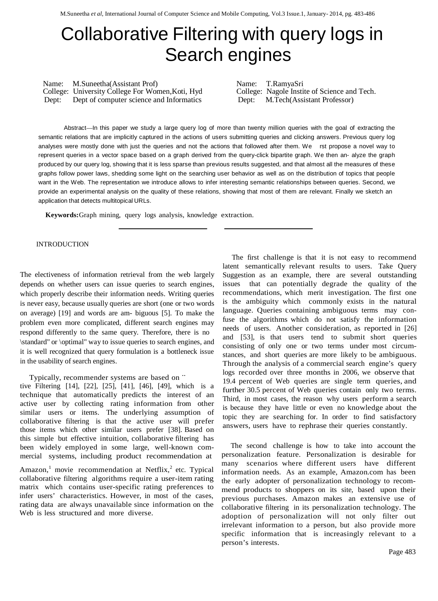# Collaborative Filtering with query logs in Search engines

Name: M.Suneetha(Assistant Prof)<br>
College: University College For Women, Koti, Hyd College: Nagole Instite of Science and Tech. College: University College For Women, Koti, Hyd Dept: Dept: Dept: Dept: Dept: Dept: Dept: Dept: Dept: Dept: Dept: Dept: Dept: Dept: Dept: Dept: Dept: Dept: Dept: Dept: Dept: Dept: Dept: Dept: Dept: Dept: Dept: Dept: Dept: Dept: Dept: Dept: Dept: Dept: Dept: Dept: Dept:

Abstract—In this paper we study a large query log of more than twenty million queries with the goal of extracting the semantic relations that are implicitly captured in the actions of users submitting queries and clicking answers. Previous query log analyses were mostly done with just the queries and not the actions that followed after them. We rst propose a novel way to represent queries in a vector space based on a graph derived from the query-click bipartite graph. We then an- alyze the graph produced by our query log, showing that it is less sparse than previous results suggested, and that almost all the measures of these graphs follow power laws, shedding some light on the searching user behavior as well as on the distribution of topics that people want in the Web. The representation we introduce allows to infer interesting semantic relationships between queries. Second, we provide an experimental analysis on the quality of these relations, showing that most of them are relevant. Finally we sketch an application that detects multitopical URLs.

**Keywords:**Graph mining, query logs analysis, knowledge extraction.

#### INTRODUCTION

The electiveness of information retrieval from the web largely depends on whether users can issue queries to search engines, which properly describe their information needs. Writing queries is never easy, because usually queries are short (one or two words on average) [19] and words are am- biguous [5]. To make the problem even more complicated, different search engines may respond differently to the same query. Therefore, there is no \standard" or \optimal" way to issue queries to search engines, and it is well recognized that query formulation is a bottleneck issue in the usability of search engines.

Typically, recommender systems are based on ¨

tive Filtering [14], [22], [25], [41], [46], [49], which is a technique that automatically predicts the interest of an active user by collecting rating information from other similar users or items. The underlying assumption of collaborative filtering is that the active user will prefer those items which other similar users prefer [38]. Based on this simple but effective intuition, collaborative filtering has been widely employed in some large, well-known commercial systems, including product recommendation at

Amazon,<sup>1</sup> movie recommendation at Netflix,<sup>2</sup> etc. Typical collaborative filtering algorithms require a user-item rating matrix which contains user-specific rating preferences to infer users' characteristics. However, in most of the cases, rating data are always unavailable since information on the Web is less structured and more diverse.

The first challenge is that it is not easy to recommend latent semantically relevant results to users. Take Query Suggestion as an example, there are several outstanding issues that can potentially degrade the quality of the recommendations, which merit investigation. The first one is the ambiguity which commonly exists in the natural language. Queries containing ambiguous terms may confuse the algorithms which do not satisfy the information needs of users. Another consideration, as reported in [26] and [53], is that users tend to submit short queries consisting of only one or two terms under most circumstances, and short queries are more likely to be ambiguous. Through the analysis of a commercial search engine's query logs recorded over three months in 2006, we observe that 19.4 percent of Web queries are single term queries, and further 30.5 percent of Web queries contain only two terms. Third, in most cases, the reason why users perform a search is because they have little or even no knowledge about the topic they are searching for. In order to find satisfactory answers, users have to rephrase their queries constantly.

The second challenge is how to take into account the personalization feature. Personalization is desirable for many scenarios where different users have different information needs. As an example, Amazon.com has been the early adopter of personalization technology to recommend products to shoppers on its site, based upon their previous purchases. Amazon makes an extensive use of collaborative filtering in its personalization technology. The adoption of personalization will not only filter out irrelevant information to a person, but also provide more specific information that is increasingly relevant to a person's interests.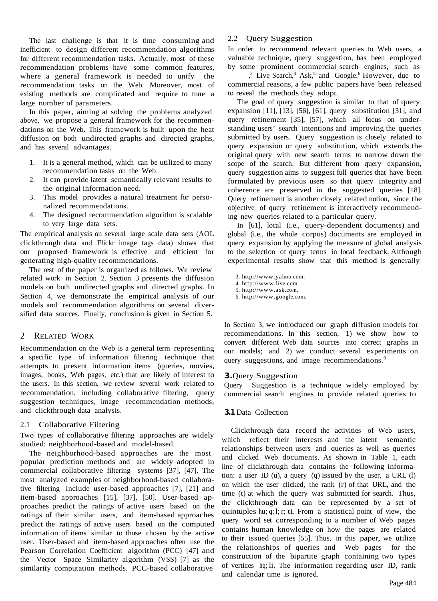The last challenge is that it is time consuming and inefficient to design different recommendation algorithms for different recommendation tasks. Actually, most of these recommendation problems have some common features, where a general framework is needed to unify the recommendation tasks on the Web. Moreover, most of existing methods are complicated and require to tune a large number of parameters.

In this paper, aiming at solving the problems analyzed above, we propose a general framework for the recommendations on the Web. This framework is built upon the heat diffusion on both undirected graphs and directed graphs, and has several advantages.

- 1. It is a general method, which can be utilized to many recommendation tasks on the Web.
- 2. It can provide latent semantically relevant results to the original information need.
- 3. This model provides a natural treatment for personalized recommendations.
- 4. The designed recommendation algorithm is scalable to very large data sets.

The empirical analysis on several large scale data sets (AOL clickthrough data and Flickr image tags data) shows that our proposed framework is effective and efficient for generating high-quality recommendations.

The rest of the paper is organized as follows. We review related work in Section 2. Section 3 presents the diffusion models on both undirected graphs and directed graphs. In Section 4, we demonstrate the empirical analysis of our models and recommendation algorithms on several diversified data sources. Finally, conclusion is given in Section 5.

# 2 RELATED WORK

Recommendation on the Web is a general term representing a specific type of information filtering technique that attempts to present information items (queries, movies, images, books, Web pages, etc.) that are likely of interest to the users. In this section, we review several work related to recommendation, including collaborative filtering, query suggestion techniques, image recommendation methods, and clickthrough data analysis.

# 2.1 Collaborative Filtering

Two types of collaborative filtering approaches are widely studied: neighborhood-based and model-based.

The neighborhood-based approaches are the most popular prediction methods and are widely adopted in commercial collaborative filtering systems [37], [47]. The most analyzed examples of neighborhood-based collaborative filtering include user-based approaches [7], [21] and item-based approaches [15], [37], [50]. User-based approaches predict the ratings of active users based on the ratings of their similar users, and item-based approaches predict the ratings of active users based on the computed information of items similar to those chosen by the active user. User-based and item-based approaches often use the Pearson Correlation Coefficient algorithm (PCC) [47] and the Vector Space Similarity algorithm (VSS) [7] as the similarity computation methods. PCC-based collaborative

# 2.2 Query Suggestion

In order to recommend relevant queries to Web users, a valuable technique, query suggestion, has been employed by some prominent commercial search engines, such as

 $3^3$  Live Search,<sup>4</sup> Ask,<sup>5</sup> and Google.<sup>6</sup> However, due to commercial reasons, a few public papers have been released to reveal the methods they adopt.

The goal of query suggestion is similar to that of query expansion [11], [13], [56], [61], query substitution [31], and query refinement [35], [57], which all focus on understanding users' search intentions and improving the queries submitted by users. Query suggestion is closely related to query expansion or query substitution, which extends the original query with new search terms to narrow down the scope of the search. But different from query expansion, query suggestion aims to suggest full queries that have been formulated by previous users so that query integrity and coherence are preserved in the suggested queries [18]. Query refinement is another closely related notion, since the objective of query refinement is interactively recommending new queries related to a particular query.

In [61], local (i.e., query-dependent documents) and global (i.e., the whole corpus) documents are employed in query expansion by applying the measure of global analysis to the selection of query terms in local feedback. Although experimental results show that this method is generally

3. http://www.yahoo.com.

- 4. http://www.live.com.
- 5. http://www.ask.com.
- 6. http://www.google.com.

In Section 3, we introduced our graph diffusion models for recommendations. In this section, 1) we show how to convert different Web data sources into correct graphs in our models; and 2) we conduct several experiments on query suggestions, and image recommendations.<sup>9</sup>

#### **3.**Query Suggestion

Query Suggestion is a technique widely employed by commercial search engines to provide related queries to

#### **3.1** Data Collection

Clickthrough data record the activities of Web users, which reflect their interests and the latent semantic relationships between users and queries as well as queries and clicked Web documents. As shown in Table 1, each line of clickthrough data contains the following information: a user ID (u), a query (q) issued by the user, a URL  $(l)$ on which the user clicked, the rank (r) of that URL, and the time (t) at which the query was submitted for search. Thus, the clickthrough data can be represented by a set of quintuples hu; q; l; r; ti. From a statistical point of view, the query word set corresponding to a number of Web pages contains human knowledge on how the pages are related to their issued queries [55]. Thus, in this paper, we utilize the relationships of queries and Web pages for the construction of the bipartite graph containing two types of vertices hq; li. The information regarding user ID, rank and calendar time is ignored.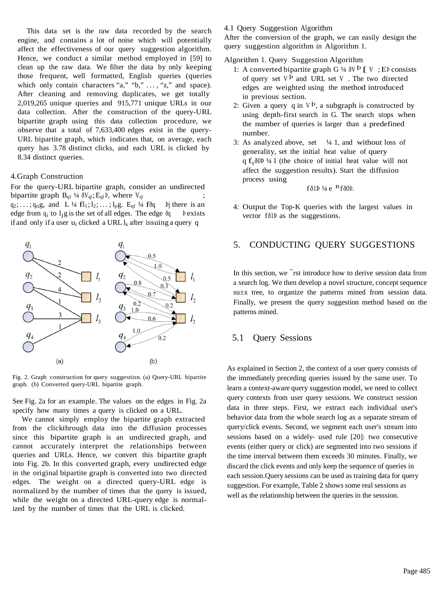This data set is the raw data recorded by the search engine, and contains a lot of noise which will potentially affect the effectiveness of our query suggestion algorithm. Hence, we conduct a similar method employed in [59] to clean up the raw data. We filter the data by only keeping those frequent, well formatted, English queries (queries which only contain characters "a," "b,"  $\dots$ , "z," and space). After cleaning and removing duplicates, we get totally 2,019,265 unique queries and 915,771 unique URLs in our data collection. After the construction of the query-URL bipartite graph using this data collection procedure, we observe that a total of 7,633,400 edges exist in the query-URL bipartite graph, which indicates that, on average, each query has 3.78 distinct clicks, and each URL is clicked by 8.34 distinct queries.

#### 4.Graph Construction

For the query-URL bipartite graph, consider an undirected bipartite graph  $B_{q1}$  ¼  $\delta V_{q1}$ ;  $E_{q1}$   $\delta V_{q1}$  where  $V_{q1}$  ;  $q_2; \ldots; q_n g$ , and L ¼ fl<sub>1</sub>; l<sub>2</sub>; ...; l<sub>p</sub>g. E<sub>ql</sub> ¼ fðq Þj there is an edge from  $q_i$  to  $l_j$ g is the set of all edges. The edge  $\delta q$  Pexists if and only if a user  $u_i$  clicked a URL  $l_k$  after issuing a query q



Fig. 2. Graph construction for query suggestion. (a) Query-URL bipartite graph. (b) Converted query-URL bipartite graph.

See Fig. 2a for an example. The values on the edges in Fig. 2a specify how many times a query is clicked on a URL.

We cannot simply employ the bipartite graph extracted from the clickthrough data into the diffusion processes since this bipartite graph is an undirected graph, and cannot accurately interpret the relationships between queries and URLs. Hence, we convert this bipartite graph into Fig. 2b. In this converted graph, every undirected edge in the original bipartite graph is converted into two directed edges. The weight on a directed query-URL edge is normalized by the number of times that the query is issued, while the weight on a directed URL-query edge is normalized by the number of times that the URL is clicked.

#### 4.1 Query Suggestion Algorithm

After the conversion of the graph, we can easily design the query suggestion algorithm in Algorithm 1.

Algorithm 1. Query Suggestion Algorithm

- 1: A converted bipartite graph  $G \nmid_{A} \delta V \cdot P$  [ V ; Eb consists of query set  $V^{\mathbf{b}}$  and URL set V. The two directed edges are weighted using the method introduced in previous section.
- 2: Given a query q in  $V^{\mathbf{p}}$ , a subgraph is constructed by using depth-first search in G. The search stops when the number of queries is larger than a predefined number.
- 3: As analyzed above, set  $\frac{1}{4}$  1, and without loss of generality, set the initial heat value of query q  $f_a \delta 0$  ½ 1 (the choice of initial heat value will not affect the suggestion results). Start the diffusion process using

$$
f\,\delta 1P\,4e^{-R}f\delta 0P.
$$

4: Output the Top-K queries with the largest values in vector fð1Þ as the suggestions.

# 5. CONDUCTING QUERY SUGGESTIONS

In this section, we ¯rst introduce how to derive session data from a search log. We then develop a novel structure, concept sequence su±x tree, to organize the patterns mined from session data. Finally, we present the query suggestion method based on the patterns mined.

## 5.1 Query Sessions

As explained in Section 2, the context of a user query consists of the immediately preceding queries issued by the same user. To learn a context-aware query suggestion model, we need to collect query contexts from user query sessions. We construct session data in three steps. First, we extract each individual user's behavior data from the whole search log as a separate stream of query/click events. Second, we segment each user's stream into sessions based on a widely- used rule [20]: two consecutive events (either query or click) are segmented into two sessions if the time interval between them exceeds 30 minutes. Finally, we discard the click events and only keep the sequence of queries in each session.Query sessions can be used as training data for query suggestion. For example, Table 2 shows some real sessions as well as the relationship between the queries in the sesssion.